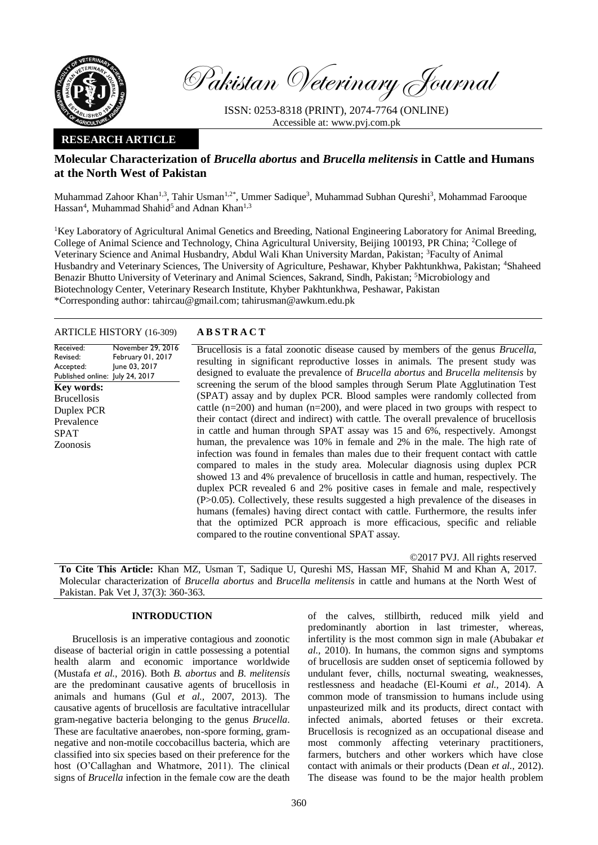

Pakistan Veterinary Journal

ISSN: 0253-8318 (PRINT), 2074-7764 (ONLINE) Accessible at: [www.pvj.com.pk](http://www.pvj.com.pk/)

## **RESEARCH ARTICLE**

# **Molecular Characterization of** *Brucella abortus* **and** *Brucella melitensis* **in Cattle and Humans at the North West of Pakistan**

Muhammad Zahoor Khan<sup>1,3</sup>, Tahir Usman<sup>1,2\*</sup>, Ummer Sadique<sup>3</sup>, Muhammad Subhan Qureshi<sup>3</sup>, Mohammad Farooque Hassan<sup>4</sup>, Muhammad Shahid<sup>5</sup> and Adnan Khan<sup>1,3</sup>

<sup>1</sup>Key Laboratory of Agricultural Animal Genetics and Breeding, National Engineering Laboratory for Animal Breeding, College of Animal Science and Technology, China Agricultural University, Beijing 100193, PR China; <sup>2</sup>College of Veterinary Science and Animal Husbandry, Abdul Wali Khan University Mardan, Pakistan; <sup>3</sup>Faculty of Animal Husbandry and Veterinary Sciences, The University of Agriculture, Peshawar, Khyber Pakhtunkhwa, Pakistan; <sup>4</sup>Shaheed Benazir Bhutto University of Veterinary and Animal Sciences, Sakrand, Sindh, Pakistan; <sup>5</sup>Microbiology and Biotechnology Center, Veterinary Research Institute, Khyber Pakhtunkhwa, Peshawar, Pakistan \*Corresponding author: tahircau@gmail.com; tahirusman@awkum.edu.pk

## ARTICLE HISTORY (16-309) **A B S T R A C T**

Received: Revised: Accepted: Published online: July 24, 2017 November 29, 2016 February 01, 2017 June 03, 2017 **Key words:**  Brucellosis Duplex PCR Prevalence SPAT Zoonosis

Brucellosis is a fatal zoonotic disease caused by members of the genus *Brucella*, resulting in significant reproductive losses in animals. The present study was designed to evaluate the prevalence of *Brucella abortus* and *Brucella melitensis* by screening the serum of the blood samples through Serum Plate Agglutination Test (SPAT) assay and by duplex PCR. Blood samples were randomly collected from cattle  $(n=200)$  and human  $(n=200)$ , and were placed in two groups with respect to their contact (direct and indirect) with cattle. The overall prevalence of brucellosis in cattle and human through SPAT assay was 15 and 6%, respectively. Amongst human, the prevalence was 10% in female and 2% in the male. The high rate of infection was found in females than males due to their frequent contact with cattle compared to males in the study area. Molecular diagnosis using duplex PCR showed 13 and 4% prevalence of brucellosis in cattle and human, respectively. The duplex PCR revealed 6 and 2% positive cases in female and male, respectively (P>0.05). Collectively, these results suggested a high prevalence of the diseases in humans (females) having direct contact with cattle. Furthermore, the results infer that the optimized PCR approach is more efficacious, specific and reliable compared to the routine conventional SPAT assay.

©2017 PVJ. All rights reserved

**To Cite This Article:** Khan MZ, Usman T, Sadique U, Qureshi MS, Hassan MF, Shahid M and Khan A, 2017. Molecular characterization of *Brucella abortus* and *Brucella melitensis* in cattle and humans at the North West of Pakistan. Pak Vet J, 37(3): 360-363.

## **INTRODUCTION**

Brucellosis is an imperative contagious and zoonotic disease of bacterial origin in cattle possessing a potential health alarm and economic importance worldwide (Mustafa *et al.,* 2016). Both *B. abortus* and *B. melitensis* are the predominant causative agents of brucellosis in animals and humans (Gul *et al.,* 2007, 2013). The causative agents of brucellosis are facultative intracellular gram-negative bacteria belonging to the genus *Brucella*. These are facultative anaerobes, non-spore forming, gramnegative and non-motile coccobacillus bacteria, which are classified into six species based on their preference for the host (O'Callaghan and Whatmore, 2011). The clinical signs of *Brucella* infection in the female cow are the death

of the calves, stillbirth, reduced milk yield and predominantly abortion in last trimester, whereas, infertility is the most common sign in male (Abubakar *et al.,* 2010). In humans, the common signs and symptoms of brucellosis are sudden onset of septicemia followed by undulant fever, chills, nocturnal sweating, weaknesses, restlessness and headache (El-Koumi *et al.,* 2014). A common mode of transmission to humans include using unpasteurized milk and its products, direct contact with infected animals, aborted fetuses or their excreta. Brucellosis is recognized as an occupational disease and most commonly affecting veterinary practitioners, farmers, butchers and other workers which have close contact with animals or their products (Dean *et al.,* [2012\)](http://europepmc.org/articles/PMC3880925#B6). The disease was found to be the major health problem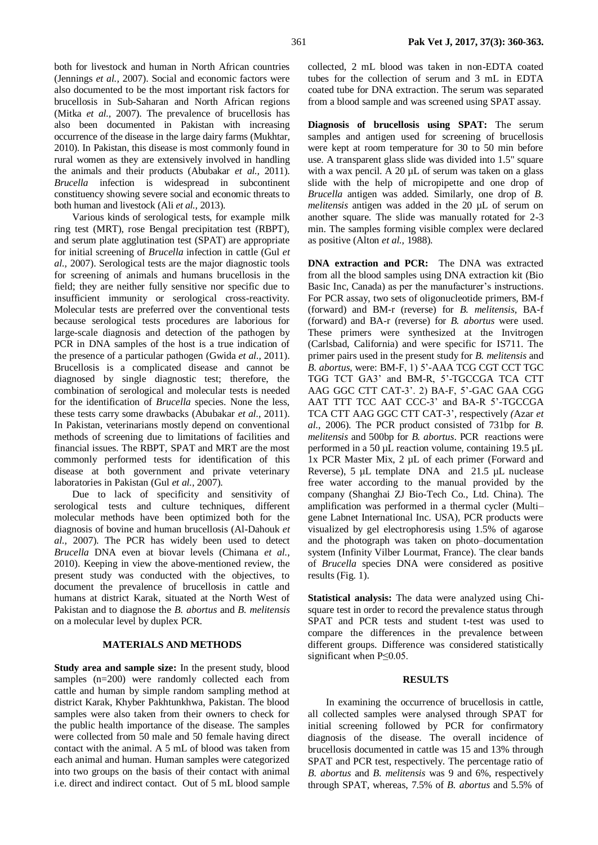both for livestock and human in North African countries (Jennings *et al.,* 2007). Social and economic factors were also documented to be the most important risk factors for brucellosis in Sub-Saharan and North African regions (Mitka *et al.,* 2007). The prevalence of brucellosis has also been documented in Pakistan with increasing occurrence of the disease in the large dairy farms (Mukhtar, 2010). In Pakistan, this disease is most commonly found in rural women as they are extensively involved in handling the animals and their products (Abubakar *et al.,* 2011). *Brucella* infection is widespread in subcontinent constituency showing severe social and economic threats to both human and livestock (Ali *et al.,* 2013).

Various kinds of serological tests, for example milk ring test (MRT), rose Bengal precipitation test (RBPT), and serum plate agglutination test (SPAT) are appropriate for initial screening of *Brucella* infection in cattle (Gul *et al.,* 2007). Serological tests are the major diagnostic tools for screening of animals and humans brucellosis in the field; they are neither fully sensitive nor specific due to insufficient immunity or serological cross-reactivity. Molecular tests are preferred over the conventional tests because serological tests procedures are laborious for large-scale diagnosis and detection of the pathogen by PCR in DNA samples of the host is a true indication of the presence of a particular pathogen (Gwida *et al.,* 2011). Brucellosis is a complicated disease and cannot be diagnosed by single diagnostic test; therefore, the combination of serological and molecular tests is needed for the identification of *Brucella* species. None the less, these tests carry some drawbacks (Abubakar *et al.,* 2011). In Pakistan, veterinarians mostly depend on conventional methods of screening due to limitations of facilities and financial issues. The RBPT, SPAT and MRT are the most commonly performed tests for identification of this disease at both government and private veterinary laboratories in Pakistan (Gul *et al.,* 2007).

Due to lack of specificity and sensitivity of serological tests and culture techniques, different molecular methods have been optimized both for the diagnosis of bovine and human brucellosis (Al-Dahouk *et al.,* 2007). The PCR has widely been used to detect *Brucella* DNA even at biovar levels (Chimana *et al.,* 2010). Keeping in view the above-mentioned review, the present study was conducted with the objectives, to document the prevalence of brucellosis in cattle and humans at district Karak, situated at the North West of Pakistan and to diagnose the *B. abortus* and *B. melitensis* on a molecular level by duplex PCR.

## **MATERIALS AND METHODS**

**Study area and sample size:** In the present study, blood samples (n=200) were randomly collected each from cattle and human by simple random sampling method at district Karak, Khyber Pakhtunkhwa, Pakistan. The blood samples were also taken from their owners to check for the public health importance of the disease. The samples were collected from 50 male and 50 female having direct contact with the animal. A 5 mL of blood was taken from each animal and human. Human samples were categorized into two groups on the basis of their contact with animal i.e. direct and indirect contact. Out of 5 mL blood sample collected, 2 mL blood was taken in non-EDTA coated tubes for the collection of serum and 3 mL in EDTA coated tube for DNA extraction. The serum was separated from a blood sample and was screened using SPAT assay.

**Diagnosis of brucellosis using SPAT:** The serum samples and antigen used for screening of brucellosis were kept at room temperature for 30 to 50 min before use. A transparent glass slide was divided into 1.5" square with a wax pencil. A 20  $\mu$ L of serum was taken on a glass slide with the help of micropipette and one drop of *Brucella* antigen was added. Similarly, one drop of *B. melitensis* antigen was added in the 20 µL of serum on another square. The slide was manually rotated for 2-3 min. The samples forming visible complex were declared as positive (Alton *et al.,* 1988).

**DNA extraction and PCR:** The DNA was extracted from all the blood samples using DNA extraction kit (Bio Basic Inc, Canada) as per the manufacturer's instructions. For PCR assay, two sets of oligonucleotide primers, BM-f (forward) and BM-r (reverse) for *B. melitensis,* BA-f (forward) and BA-r (reverse) for *B. abortus* were used. These primers were synthesized at the Invitrogen (Carlsbad, California) and were specific for IS711. The primer pairs used in the present study for *B. melitensis* and *B. abortus*, were: BM-F, 1) 5'-AAA TCG CGT CCT TGC TGG TCT GA3' and BM-R, 5'-TGCCGA TCA CTT AAG GGC CTT CAT-3'. 2) BA-F, 5'-GAC GAA CGG AAT TTT TCC AAT CCC-3' and BA-R 5'-TGCCGA TCA CTT AAG GGC CTT CAT-3'*,* respectively *(*Azar *et al.,* 2006). The PCR product consisted of 731bp for *B. melitensis* and 500bp for *B. abortus*. PCR reactions were performed in a 50 µL reaction volume, containing 19.5 µL 1x PCR Master Mix, 2 µL of each primer (Forward and Reverse), 5 µL template DNA and 21.5 µL nuclease free water according to the manual provided by the company (Shanghai ZJ Bio-Tech Co., Ltd. China). The amplification was performed in a thermal cycler (Multi– gene Labnet International Inc. USA), PCR products were visualized by gel electrophoresis using 1.5% of agarose and the photograph was taken on photo–documentation system (Infinity Vilber Lourmat, France). The clear bands of *Brucella* species DNA were considered as positive results (Fig. 1).

**Statistical analysis:** The data were analyzed using Chisquare test in order to record the prevalence status through SPAT and PCR tests and student t-test was used to compare the differences in the prevalence between different groups. Difference was considered statistically significant when P≤0.05.

### **RESULTS**

In examining the occurrence of brucellosis in cattle, all collected samples were analysed through SPAT for initial screening followed by PCR for confirmatory diagnosis of the disease. The overall incidence of brucellosis documented in cattle was 15 and 13% through SPAT and PCR test, respectively. The percentage ratio of *B. abortus* and *B. melitensis* was 9 and 6%, respectively through SPAT, whereas, 7.5% of *B. abortus* and 5.5% of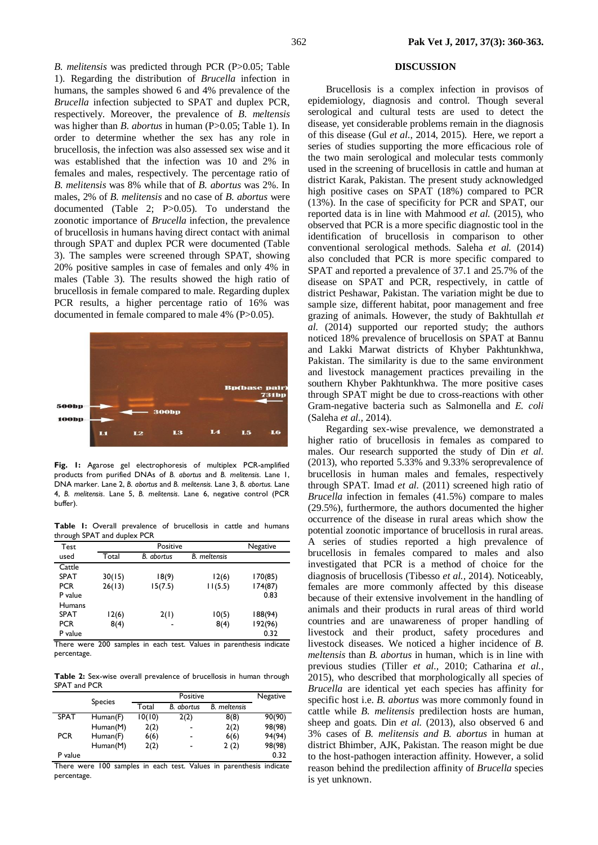1). Regarding the distribution of *Brucella* infection in humans, the samples showed 6 and 4% prevalence of the *Brucella* infection subjected to SPAT and duplex PCR, respectively. Moreover, the prevalence of *B. meltensis* was higher than *B. abortus* in human (P>0.05; Table 1). In order to determine whether the sex has any role in brucellosis, the infection was also assessed sex wise and it was established that the infection was 10 and 2% in females and males, respectively. The percentage ratio of *B. melitensis* was 8% while that of *B. abortus* was 2%. In males, 2% of *B. melitensis* and no case of *B. abortus* were documented (Table 2; P>0.05). To understand the zoonotic importance of *Brucella* infection, the prevalence of brucellosis in humans having direct contact with animal through SPAT and duplex PCR were documented (Table 3). The samples were screened through SPAT, showing 20% positive samples in case of females and only 4% in males (Table 3). The results showed the high ratio of brucellosis in female compared to male. Regarding duplex PCR results, a higher percentage ratio of 16% was documented in female compared to male 4% (P>0.05).



**Fig. 1:** Agarose gel electrophoresis of multiplex PCR-amplified products from purified DNAs of *B. abortus* and *B. melitensis*. Lane 1, DNA marker. Lane 2, *B. abortus* and *B. melitensis.* Lane 3, *B. abortus.* Lane 4, *B. melitensis*. Lane 5, *B. melitensis*. Lane 6, negative control (PCR buffer).

**Table 1:** Overall prevalence of brucellosis in cattle and humans through SPAT and duplex PCR

| Test          |        | Positive   |                     |         |  |  |
|---------------|--------|------------|---------------------|---------|--|--|
| used          | Total  | B. abortus | <b>B.</b> meltensis |         |  |  |
| Cattle        |        |            |                     |         |  |  |
| <b>SPAT</b>   | 30(15) | 18(9)      | 12(6)               | 170(85) |  |  |
| <b>PCR</b>    | 26(13) | 15(7.5)    | 11(5.5)             | 174(87) |  |  |
| P value       |        |            |                     | 0.83    |  |  |
| <b>Humans</b> |        |            |                     |         |  |  |
| <b>SPAT</b>   | 12(6)  | 2(1)       | 10(5)               | 188(94) |  |  |
| <b>PCR</b>    | 8(4)   | -          | 8(4)                | 192(96) |  |  |
| P value       |        |            |                     | 0.32    |  |  |

There were 200 samples in each test. Values in parenthesis indicate percentage.

**Table 2:** Sex-wise overall prevalence of brucellosis in human through SPAT and PCR

|             | <b>Species</b> |        | Negative       |                     |        |
|-------------|----------------|--------|----------------|---------------------|--------|
|             |                | Total  | B. abortus     | <b>B.</b> meltensis |        |
| <b>SPAT</b> | Human(F)       | 10(10) | 2(2)           | 8(8)                | 90(90) |
|             | Human(M)       | 2(2)   | $\blacksquare$ | 2(2)                | 98(98) |
| <b>PCR</b>  | Human(F)       | 6(6)   | $\blacksquare$ | 6(6)                | 94(94) |
|             | Human(M)       | 2(2)   | $\blacksquare$ | 2(2)                | 98(98) |
| P value     |                |        |                |                     | 0.32   |

There were 100 samples in each test. Values in parenthesis indicate percentage.

## **DISCUSSION**

Brucellosis is a complex infection in provisos of epidemiology, diagnosis and control. Though several serological and cultural tests are used to detect the disease, yet considerable problems remain in the diagnosis of this disease (Gul *et al*., 2014, 2015). Here, we report a series of studies supporting the more efficacious role of the two main serological and molecular tests commonly used in the screening of brucellosis in cattle and human at district Karak, Pakistan. The present study acknowledged high positive cases on SPAT (18%) compared to PCR (13%). In the case of specificity for PCR and SPAT, our reported data is in line with Mahmood *et al.* (2015), who observed that PCR is a more specific diagnostic tool in the identification of brucellosis in comparison to other conventional serological methods. Saleha *et al.* (2014) also concluded that PCR is more specific compared to SPAT and reported a prevalence of 37.1 and 25.7% of the disease on SPAT and PCR, respectively, in cattle of district Peshawar, Pakistan. The variation might be due to sample size, different habitat, poor management and free grazing of animals. However, the study of Bakhtullah *et al.* (2014) supported our reported study; the authors noticed 18% prevalence of brucellosis on SPAT at Bannu and Lakki Marwat districts of Khyber Pakhtunkhwa, Pakistan. The similarity is due to the same environment and livestock management practices prevailing in the southern Khyber Pakhtunkhwa. The more positive cases through SPAT might be due to cross-reactions with other Gram-negative bacteria such as Salmonella and *E. coli* (Saleha *et al.,* 2014).

P value **2.32** to the host-pathogen interaction affinity. However, a solid Regarding sex-wise prevalence, we demonstrated a higher ratio of brucellosis in females as compared to males. Our research supported the study of Din *et al.* (2013), who reported 5.33% and 9.33% seroprevalence of brucellosis in human males and females, respectively through SPAT. Imad *et al.* (2011) screened high ratio of *Brucella* infection in females (41.5%) compare to males (29.5%), furthermore, the authors documented the higher occurrence of the disease in rural areas which show the potential zoonotic importance of brucellosis in rural areas. A series of studies reported a high prevalence of brucellosis in females compared to males and also investigated that PCR is a method of choice for the diagnosis of brucellosis (Tibesso *et al.,* 2014). Noticeably, females are more commonly affected by this disease because of their extensive involvement in the handling of animals and their products in rural areas of third world countries and are unawareness of proper handling of livestock and their product, safety procedures and livestock diseases. We noticed a higher incidence of *B. meltensis* than *B. abortus* in human, which is in line with previous studies (Tiller *et al.,* 2010; Catharina *et al.,* 2015), who described that morphologically all species of *Brucella* are identical yet each species has affinity for specific host i.e. *B. abortus* was more commonly found in cattle while *B. melitensis* predilection hosts are human, sheep and goats. Din *et al.* (2013), also observed 6 and 3% cases of *B. melitensis and B. abortus* in human at district Bhimber, AJK, Pakistan. The reason might be due reason behind the predilection affinity of *Brucella* species is yet unknown.